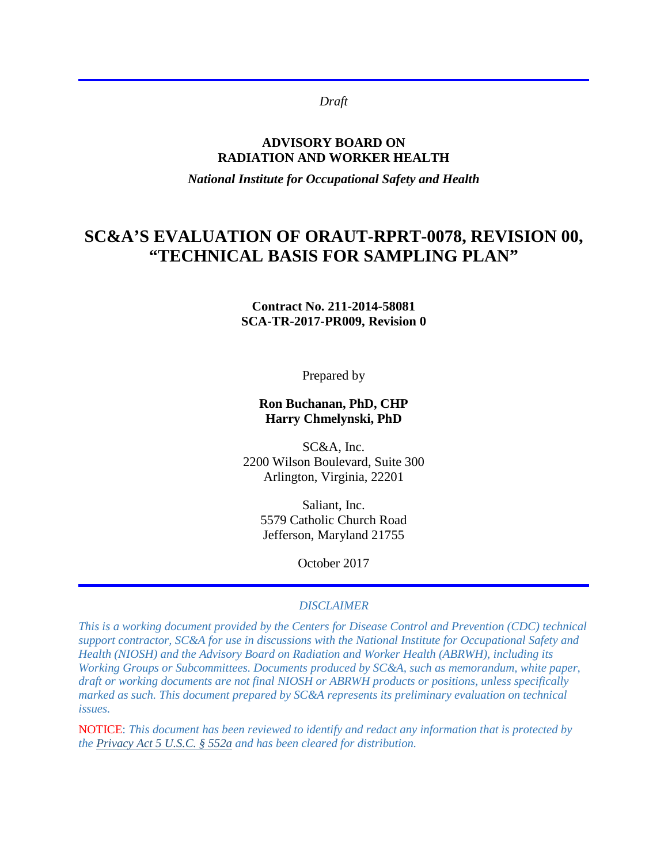*Draft*

#### **ADVISORY BOARD ON RADIATION AND WORKER HEALTH**

*National Institute for Occupational Safety and Health*

# **SC&A'S EVALUATION OF ORAUT-RPRT-0078, REVISION 00, "TECHNICAL BASIS FOR SAMPLING PLAN"**

**Contract No. 211-2014-58081 SCA-TR-2017-PR009, Revision 0** 

Prepared by

#### **Ron Buchanan, PhD, CHP Harry Chmelynski, PhD**

SC&A, Inc. 2200 Wilson Boulevard, Suite 300 Arlington, Virginia, 22201

Saliant, Inc. 5579 Catholic Church Road Jefferson, Maryland 21755

October 2017

#### *DISCLAIMER*

*This is a working document provided by the Centers for Disease Control and Prevention (CDC) technical support contractor, SC&A for use in discussions with the National Institute for Occupational Safety and Health (NIOSH) and the Advisory Board on Radiation and Worker Health (ABRWH), including its Working Groups or Subcommittees. Documents produced by SC&A, such as memorandum, white paper, draft or working documents are not final NIOSH or ABRWH products or positions, unless specifically marked as such. This document prepared by SC&A represents its preliminary evaluation on technical issues.*

NOTICE: *This document has been reviewed to identify and redact any information that is protected by the [Privacy Act 5 U.S.C. § 552a](http://www.justice.gov/opcl/privacy-act-1974) and has been cleared for distribution.*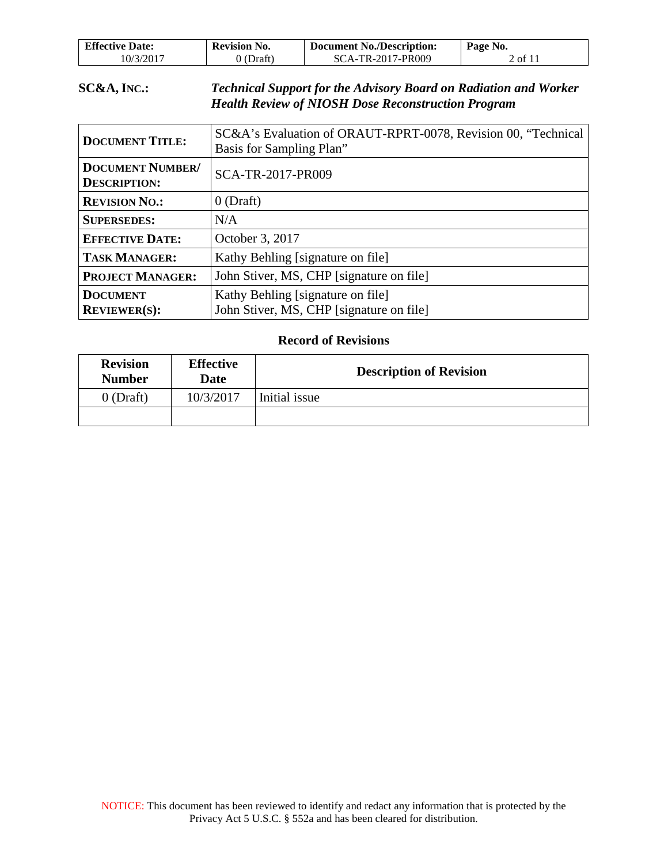| <b>Effective Date:</b> | <b>Revision No.</b> | <b>Document No./Description:</b> | Page No. |
|------------------------|---------------------|----------------------------------|----------|
| 10/3/2017              | ) (Draft)           | SCA-TR-2017-PR009                | 2 of 11  |

#### **SC&A, INC.:** *Technical Support for the Advisory Board on Radiation and Worker Health Review of NIOSH Dose Reconstruction Program*

| <b>DOCUMENT TITLE:</b>                         | SC&A's Evaluation of ORAUT-RPRT-0078, Revision 00, "Technical<br>Basis for Sampling Plan" |
|------------------------------------------------|-------------------------------------------------------------------------------------------|
| <b>DOCUMENT NUMBER/</b><br><b>DESCRIPTION:</b> | SCA-TR-2017-PR009                                                                         |
| <b>REVISION NO.:</b>                           | $0$ (Draft)                                                                               |
| <b>SUPERSEDES:</b>                             | N/A                                                                                       |
| <b>EFFECTIVE DATE:</b>                         | October 3, 2017                                                                           |
| <b>TASK MANAGER:</b>                           | Kathy Behling [signature on file]                                                         |
| <b>PROJECT MANAGER:</b>                        | John Stiver, MS, CHP [signature on file]                                                  |
| <b>DOCUMENT</b><br><b>REVIEWER(S):</b>         | Kathy Behling [signature on file]<br>John Stiver, MS, CHP [signature on file]             |

#### **Record of Revisions**

| <b>Revision</b><br><b>Number</b> | <b>Effective</b><br>Date | <b>Description of Revision</b> |  |
|----------------------------------|--------------------------|--------------------------------|--|
| $0$ (Draft)                      | 10/3/2017                | Initial issue                  |  |
|                                  |                          |                                |  |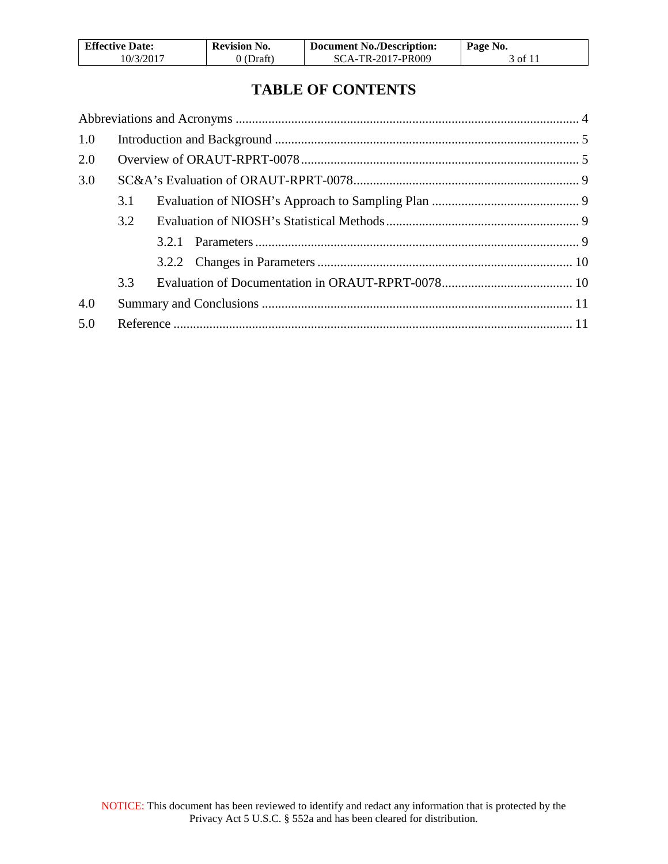| <b>Effective Date:</b> | <b>Revision No.</b> | <b>Document No./Description:</b> | Page No. |
|------------------------|---------------------|----------------------------------|----------|
| 10/3/2017              | 0 (Draft)           | SCA-TR-2017-PR009                | 3 of 11  |

# **TABLE OF CONTENTS**

| 1.0 |     |       |  |
|-----|-----|-------|--|
| 2.0 |     |       |  |
| 3.0 |     |       |  |
|     | 3.1 |       |  |
|     | 3.2 |       |  |
|     |     | 3.2.1 |  |
|     |     |       |  |
|     | 3.3 |       |  |
| 4.0 |     |       |  |
| 5.0 |     |       |  |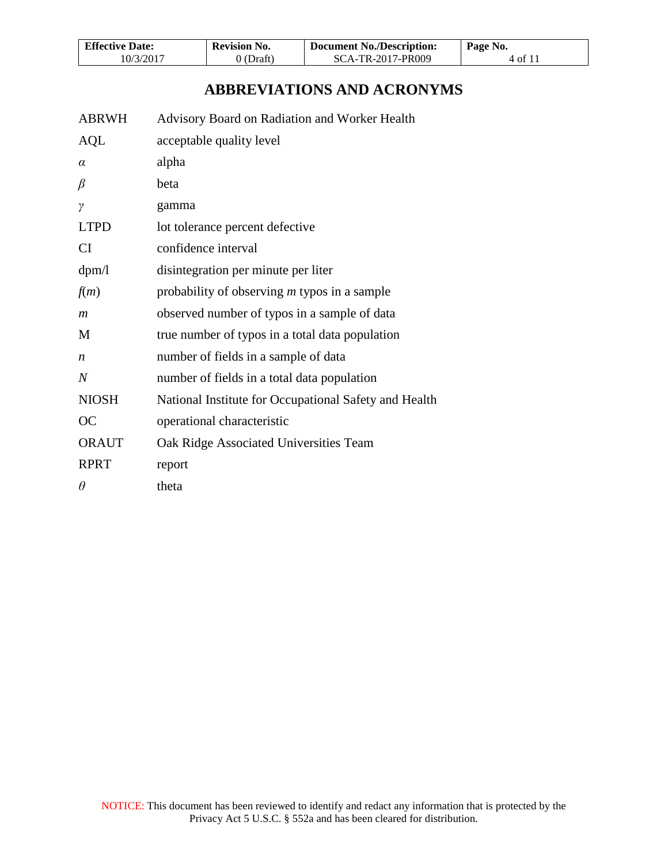| <b>Effective Date:</b> | <b>Revision No.</b> | <b>Document No./Description:</b> | Page No. |
|------------------------|---------------------|----------------------------------|----------|
| 10/3/2017              | 0 (Draft)           | SCA-TR-2017-PR009                | 4 of 11  |

# **ABBREVIATIONS AND ACRONYMS**

<span id="page-3-0"></span>

| <b>ABRWH</b>     | Advisory Board on Radiation and Worker Health         |
|------------------|-------------------------------------------------------|
| <b>AQL</b>       | acceptable quality level                              |
| $\alpha$         | alpha                                                 |
| $\beta$          | beta                                                  |
| $\gamma$         | gamma                                                 |
| <b>LTPD</b>      | lot tolerance percent defective                       |
| <b>CI</b>        | confidence interval                                   |
| dpm/l            | disintegration per minute per liter                   |
| f(m)             | probability of observing <i>m</i> typos in a sample   |
| $\mathfrak{m}$   | observed number of typos in a sample of data          |
| M                | true number of typos in a total data population       |
| $\boldsymbol{n}$ | number of fields in a sample of data                  |
| $\overline{N}$   | number of fields in a total data population           |
| <b>NIOSH</b>     | National Institute for Occupational Safety and Health |
| <b>OC</b>        | operational characteristic                            |
| <b>ORAUT</b>     | Oak Ridge Associated Universities Team                |
| <b>RPRT</b>      | report                                                |
| $\theta$         | theta                                                 |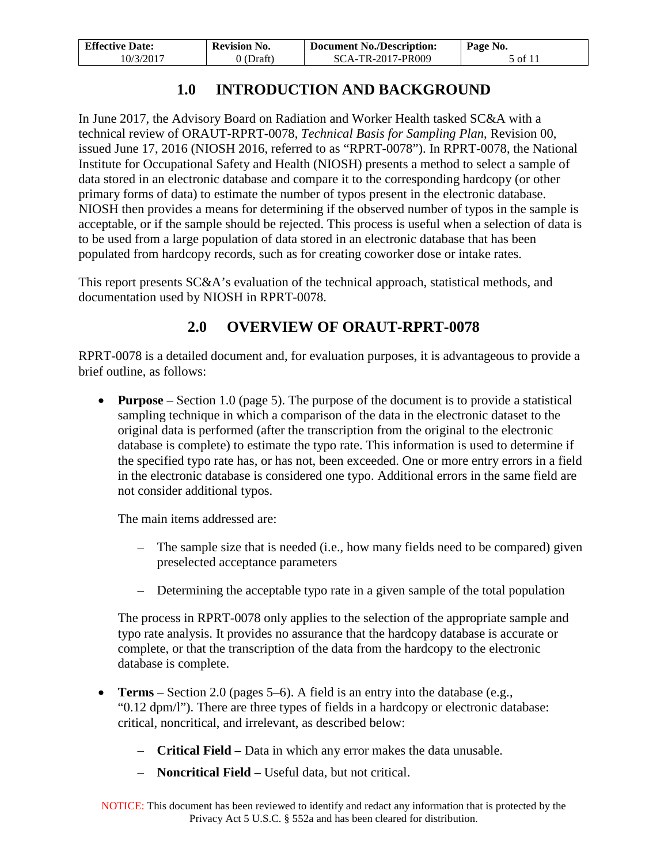| <b>Effective Date:</b> | <b>Revision No.</b> | <b>Document No./Description:</b> | Page No. |
|------------------------|---------------------|----------------------------------|----------|
| 10/3/2017              | 0 (Draft)           | SCA-TR-2017-PR009                | 5 of 11  |

# **1.0 INTRODUCTION AND BACKGROUND**

<span id="page-4-0"></span>In June 2017, the Advisory Board on Radiation and Worker Health tasked SC&A with a technical review of ORAUT-RPRT-0078, *Technical Basis for Sampling Plan*, Revision 00, issued June 17, 2016 (NIOSH 2016, referred to as "RPRT-0078"). In RPRT-0078, the National Institute for Occupational Safety and Health (NIOSH) presents a method to select a sample of data stored in an electronic database and compare it to the corresponding hardcopy (or other primary forms of data) to estimate the number of typos present in the electronic database. NIOSH then provides a means for determining if the observed number of typos in the sample is acceptable, or if the sample should be rejected. This process is useful when a selection of data is to be used from a large population of data stored in an electronic database that has been populated from hardcopy records, such as for creating coworker dose or intake rates.

This report presents SC&A's evaluation of the technical approach, statistical methods, and documentation used by NIOSH in RPRT-0078.

## **2.0 OVERVIEW OF ORAUT-RPRT-0078**

<span id="page-4-1"></span>RPRT-0078 is a detailed document and, for evaluation purposes, it is advantageous to provide a brief outline, as follows:

• **Purpose** – Section 1.0 (page 5). The purpose of the document is to provide a statistical sampling technique in which a comparison of the data in the electronic dataset to the original data is performed (after the transcription from the original to the electronic database is complete) to estimate the typo rate. This information is used to determine if the specified typo rate has, or has not, been exceeded. One or more entry errors in a field in the electronic database is considered one typo. Additional errors in the same field are not consider additional typos.

The main items addressed are:

- The sample size that is needed (i.e., how many fields need to be compared) given preselected acceptance parameters
- Determining the acceptable typo rate in a given sample of the total population

The process in RPRT-0078 only applies to the selection of the appropriate sample and typo rate analysis. It provides no assurance that the hardcopy database is accurate or complete, or that the transcription of the data from the hardcopy to the electronic database is complete.

- **Terms**  Section 2.0 (pages 5–6). A field is an entry into the database (e.g., "0.12 dpm/l"). There are three types of fields in a hardcopy or electronic database: critical, noncritical, and irrelevant, as described below:
	- **Critical Field** Data in which any error makes the data unusable.
	- **Noncritical Field –** Useful data, but not critical.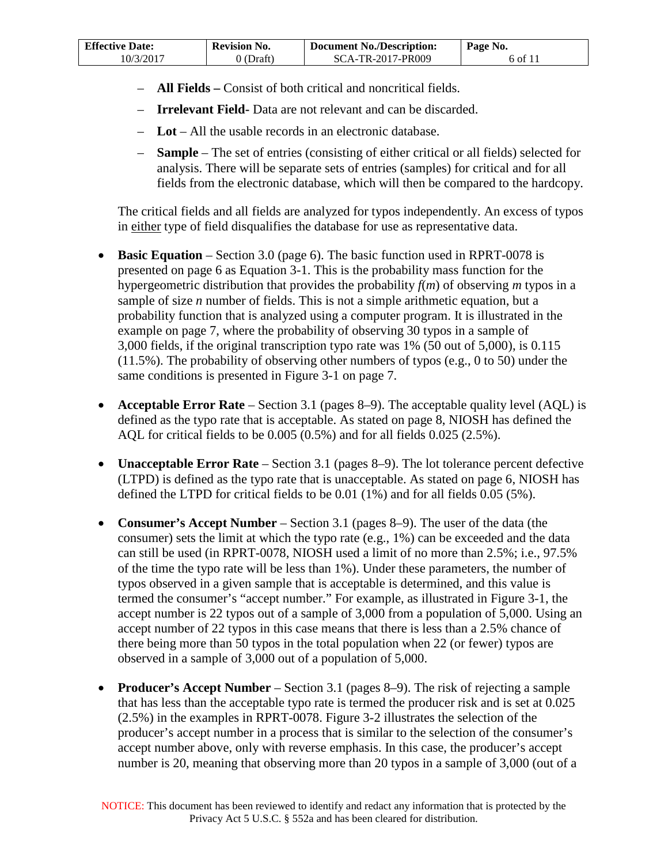| <b>Effective Date:</b> | <b>Revision No.</b> | <b>Document No./Description:</b> | Page No. |
|------------------------|---------------------|----------------------------------|----------|
| 10/3/2017              | (Draft)             | SCA-TR-2017-PR009                | 6 of 11  |

- **All Fields** Consist of both critical and noncritical fields.
- **Irrelevant Field-** Data are not relevant and can be discarded.
- **Lot**  All the usable records in an electronic database.
- **Sample** The set of entries (consisting of either critical or all fields) selected for analysis. There will be separate sets of entries (samples) for critical and for all fields from the electronic database, which will then be compared to the hardcopy.

The critical fields and all fields are analyzed for typos independently. An excess of typos in either type of field disqualifies the database for use as representative data.

- **Basic Equation** Section 3.0 (page 6). The basic function used in RPRT-0078 is presented on page 6 as Equation 3-1. This is the probability mass function for the hypergeometric distribution that provides the probability *f*(*m*) of observing *m* typos in a sample of size *n* number of fields. This is not a simple arithmetic equation, but a probability function that is analyzed using a computer program. It is illustrated in the example on page 7, where the probability of observing 30 typos in a sample of 3,000 fields, if the original transcription typo rate was 1% (50 out of 5,000), is 0.115 (11.5%). The probability of observing other numbers of typos (e.g., 0 to 50) under the same conditions is presented in Figure 3-1 on page 7.
- **Acceptable Error Rate** Section 3.1 (pages 8–9). The acceptable quality level (AQL) is defined as the typo rate that is acceptable. As stated on page 8, NIOSH has defined the AQL for critical fields to be 0.005 (0.5%) and for all fields 0.025 (2.5%).
- **Unacceptable Error Rate** Section 3.1 (pages 8–9). The lot tolerance percent defective (LTPD) is defined as the typo rate that is unacceptable. As stated on page 6, NIOSH has defined the LTPD for critical fields to be 0.01 (1%) and for all fields 0.05 (5%).
- **Consumer's Accept Number**  Section 3.1 (pages 8–9). The user of the data (the consumer) sets the limit at which the typo rate (e.g., 1%) can be exceeded and the data can still be used (in RPRT-0078, NIOSH used a limit of no more than 2.5%; i.e., 97.5% of the time the typo rate will be less than 1%). Under these parameters, the number of typos observed in a given sample that is acceptable is determined, and this value is termed the consumer's "accept number." For example, as illustrated in Figure 3-1, the accept number is 22 typos out of a sample of 3,000 from a population of 5,000. Using an accept number of 22 typos in this case means that there is less than a 2.5% chance of there being more than 50 typos in the total population when 22 (or fewer) typos are observed in a sample of 3,000 out of a population of 5,000.
- **Producer's Accept Number** Section 3.1 (pages 8–9). The risk of rejecting a sample that has less than the acceptable typo rate is termed the producer risk and is set at 0.025 (2.5%) in the examples in RPRT-0078. Figure 3-2 illustrates the selection of the producer's accept number in a process that is similar to the selection of the consumer's accept number above, only with reverse emphasis. In this case, the producer's accept number is 20, meaning that observing more than 20 typos in a sample of 3,000 (out of a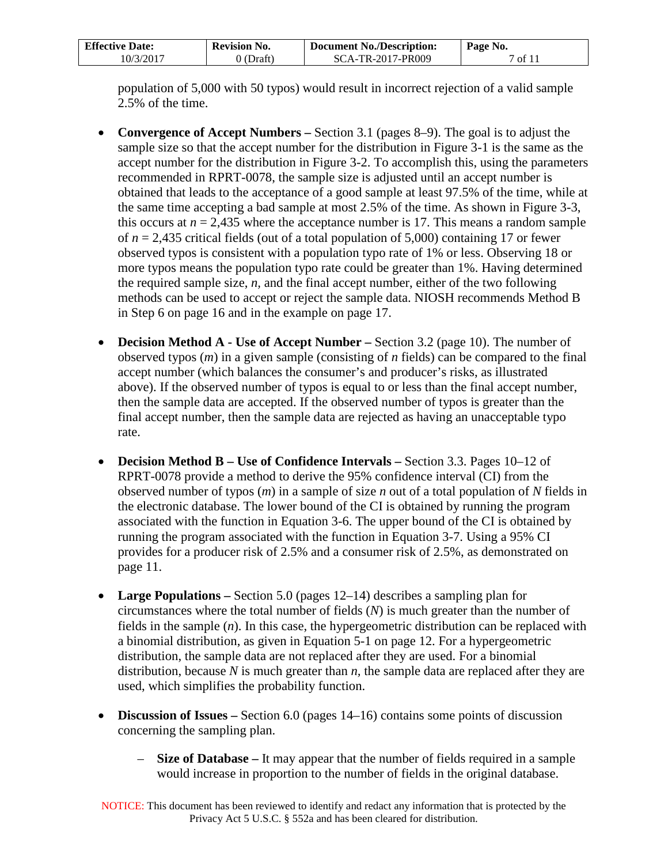| <b>Effective Date:</b> | <b>Revision No.</b> | <b>Document No./Description:</b> | Page No. |
|------------------------|---------------------|----------------------------------|----------|
| 10/3/2017              | 0 (Draft)           | SCA-TR-2017-PR009                | 7 of 11  |

population of 5,000 with 50 typos) would result in incorrect rejection of a valid sample 2.5% of the time.

- **Convergence of Accept Numbers** Section 3.1 (pages 8–9). The goal is to adjust the sample size so that the accept number for the distribution in Figure 3-1 is the same as the accept number for the distribution in Figure 3-2. To accomplish this, using the parameters recommended in RPRT-0078, the sample size is adjusted until an accept number is obtained that leads to the acceptance of a good sample at least 97.5% of the time, while at the same time accepting a bad sample at most 2.5% of the time. As shown in Figure 3-3, this occurs at  $n = 2.435$  where the acceptance number is 17. This means a random sample of *n* = 2,435 critical fields (out of a total population of 5,000) containing 17 or fewer observed typos is consistent with a population typo rate of 1% or less. Observing 18 or more typos means the population typo rate could be greater than 1%. Having determined the required sample size, *n,* and the final accept number, either of the two following methods can be used to accept or reject the sample data. NIOSH recommends Method B in Step 6 on page 16 and in the example on page 17.
- **Decision Method A Use of Accept Number –** Section 3.2 (page 10). The number of observed typos (*m*) in a given sample (consisting of *n* fields) can be compared to the final accept number (which balances the consumer's and producer's risks, as illustrated above). If the observed number of typos is equal to or less than the final accept number, then the sample data are accepted. If the observed number of typos is greater than the final accept number, then the sample data are rejected as having an unacceptable typo rate.
- **Decision Method B Use of Confidence Intervals –** Section 3.3. Pages 10–12 of RPRT-0078 provide a method to derive the 95% confidence interval (CI) from the observed number of typos (*m*) in a sample of size *n* out of a total population of *N* fields in the electronic database. The lower bound of the CI is obtained by running the program associated with the function in Equation 3-6. The upper bound of the CI is obtained by running the program associated with the function in Equation 3-7. Using a 95% CI provides for a producer risk of 2.5% and a consumer risk of 2.5%, as demonstrated on page 11.
- **Large Populations** Section 5.0 (pages 12–14) describes a sampling plan for circumstances where the total number of fields (*N*) is much greater than the number of fields in the sample (*n*). In this case, the hypergeometric distribution can be replaced with a binomial distribution, as given in Equation 5-1 on page 12. For a hypergeometric distribution, the sample data are not replaced after they are used. For a binomial distribution, because *N* is much greater than *n,* the sample data are replaced after they are used, which simplifies the probability function.
- **Discussion of Issues** Section 6.0 (pages 14–16) contains some points of discussion concerning the sampling plan.
	- **Size of Database** It may appear that the number of fields required in a sample would increase in proportion to the number of fields in the original database.

NOTICE: This document has been reviewed to identify and redact any information that is protected by the Privacy Act 5 U.S.C. § 552a and has been cleared for distribution.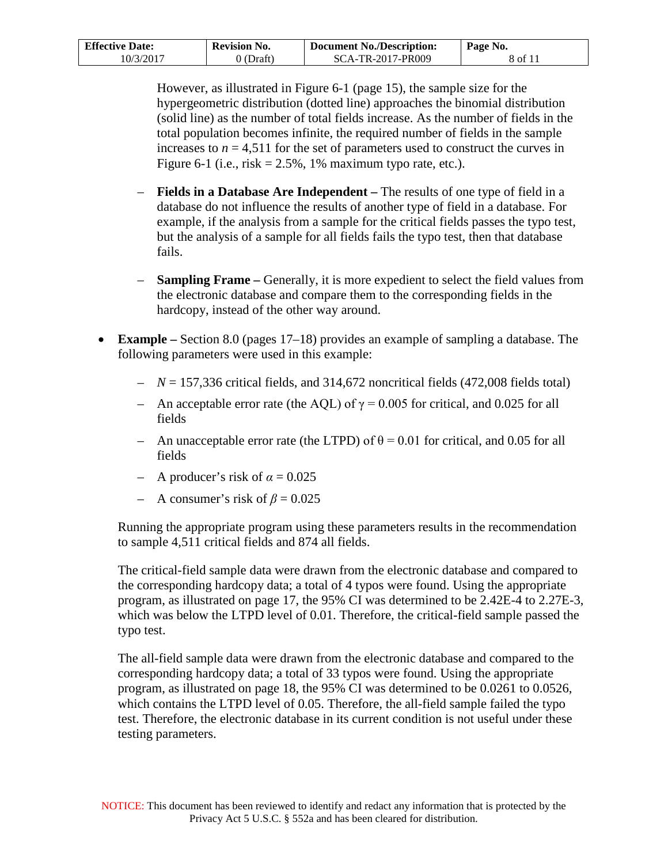| <b>Effective Date:</b> | <b>Revision No.</b> | <b>Document No./Description:</b> | Page No. |
|------------------------|---------------------|----------------------------------|----------|
| 10/3/2017              | (Draft)             | SCA-TR-2017-PR009                | 8 of 11  |

However, as illustrated in Figure 6-1 (page 15), the sample size for the hypergeometric distribution (dotted line) approaches the binomial distribution (solid line) as the number of total fields increase. As the number of fields in the total population becomes infinite, the required number of fields in the sample increases to  $n = 4,511$  for the set of parameters used to construct the curves in Figure 6-1 (i.e., risk  $= 2.5\%$ , 1% maximum typo rate, etc.).

- **Fields in a Database Are Independent** The results of one type of field in a database do not influence the results of another type of field in a database. For example, if the analysis from a sample for the critical fields passes the typo test, but the analysis of a sample for all fields fails the typo test, then that database fails.
- **Sampling Frame** Generally, it is more expedient to select the field values from the electronic database and compare them to the corresponding fields in the hardcopy, instead of the other way around.
- **Example** Section 8.0 (pages 17–18) provides an example of sampling a database. The following parameters were used in this example:
	- *N* = 157,336 critical fields, and 314,672 noncritical fields (472,008 fields total)
	- An acceptable error rate (the AQL) of  $\gamma = 0.005$  for critical, and 0.025 for all fields
	- An unacceptable error rate (the LTPD) of  $\theta = 0.01$  for critical, and 0.05 for all fields
	- A producer's risk of *α* = 0.025
	- A consumer's risk of  $\beta$  = 0.025

Running the appropriate program using these parameters results in the recommendation to sample 4,511 critical fields and 874 all fields.

The critical-field sample data were drawn from the electronic database and compared to the corresponding hardcopy data; a total of 4 typos were found. Using the appropriate program, as illustrated on page 17, the 95% CI was determined to be 2.42E-4 to 2.27E-3, which was below the LTPD level of 0.01. Therefore, the critical-field sample passed the typo test.

The all-field sample data were drawn from the electronic database and compared to the corresponding hardcopy data; a total of 33 typos were found. Using the appropriate program, as illustrated on page 18, the 95% CI was determined to be 0.0261 to 0.0526, which contains the LTPD level of 0.05. Therefore, the all-field sample failed the typo test. Therefore, the electronic database in its current condition is not useful under these testing parameters.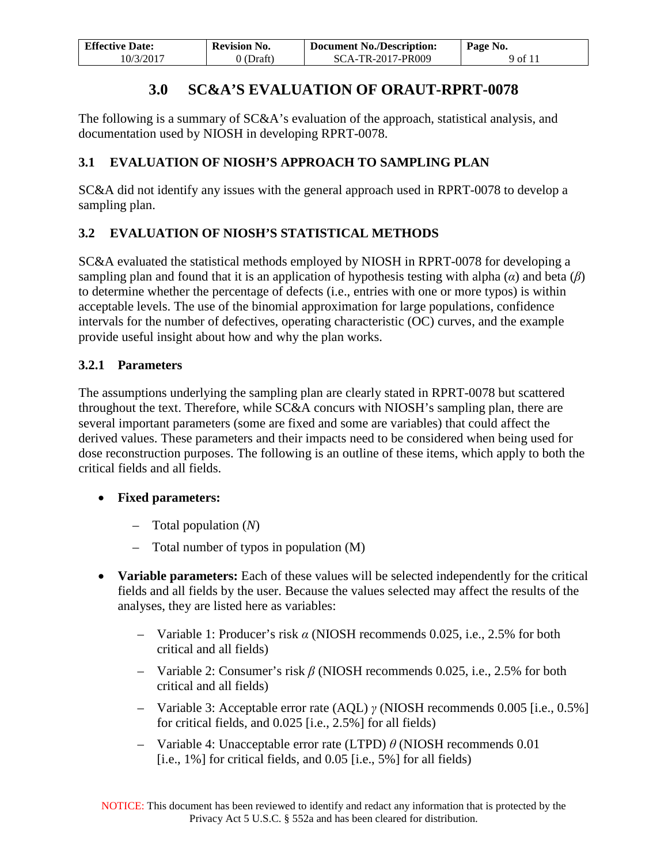| <b>Effective Date:</b> | <b>Revision No.</b> | <b>Document No./Description:</b> | Page No. |
|------------------------|---------------------|----------------------------------|----------|
| 10/3/2017              | 0 (Draft)           | SCA-TR-2017-PR009                | 9 of 11  |

# **3.0 SC&A'S EVALUATION OF ORAUT-RPRT-0078**

<span id="page-8-0"></span>The following is a summary of SC&A's evaluation of the approach, statistical analysis, and documentation used by NIOSH in developing RPRT-0078.

### <span id="page-8-1"></span>**3.1 EVALUATION OF NIOSH'S APPROACH TO SAMPLING PLAN**

SC&A did not identify any issues with the general approach used in RPRT-0078 to develop a sampling plan.

## <span id="page-8-2"></span>**3.2 EVALUATION OF NIOSH'S STATISTICAL METHODS**

SC&A evaluated the statistical methods employed by NIOSH in RPRT-0078 for developing a sampling plan and found that it is an application of hypothesis testing with alpha (*α*) and beta (*β*) to determine whether the percentage of defects (i.e., entries with one or more typos) is within acceptable levels. The use of the binomial approximation for large populations, confidence intervals for the number of defectives, operating characteristic (OC) curves, and the example provide useful insight about how and why the plan works.

## <span id="page-8-3"></span>**3.2.1 Parameters**

The assumptions underlying the sampling plan are clearly stated in RPRT-0078 but scattered throughout the text. Therefore, while SC&A concurs with NIOSH's sampling plan, there are several important parameters (some are fixed and some are variables) that could affect the derived values. These parameters and their impacts need to be considered when being used for dose reconstruction purposes. The following is an outline of these items, which apply to both the critical fields and all fields.

#### • **Fixed parameters:**

- Total population (*N*)
- Total number of typos in population (M)
- **Variable parameters:** Each of these values will be selected independently for the critical fields and all fields by the user. Because the values selected may affect the results of the analyses, they are listed here as variables:
	- Variable 1: Producer's risk *α* (NIOSH recommends 0.025, i.e., 2.5% for both critical and all fields)
	- Variable 2: Consumer's risk *β* (NIOSH recommends 0.025, i.e., 2.5% for both critical and all fields)
	- Variable 3: Acceptable error rate (AQL) *γ* (NIOSH recommends 0.005 [i.e., 0.5%] for critical fields, and 0.025 [i.e., 2.5%] for all fields)
	- Variable 4: Unacceptable error rate (LTPD) *θ* (NIOSH recommends 0.01 [i.e., 1%] for critical fields, and 0.05 [i.e., 5%] for all fields)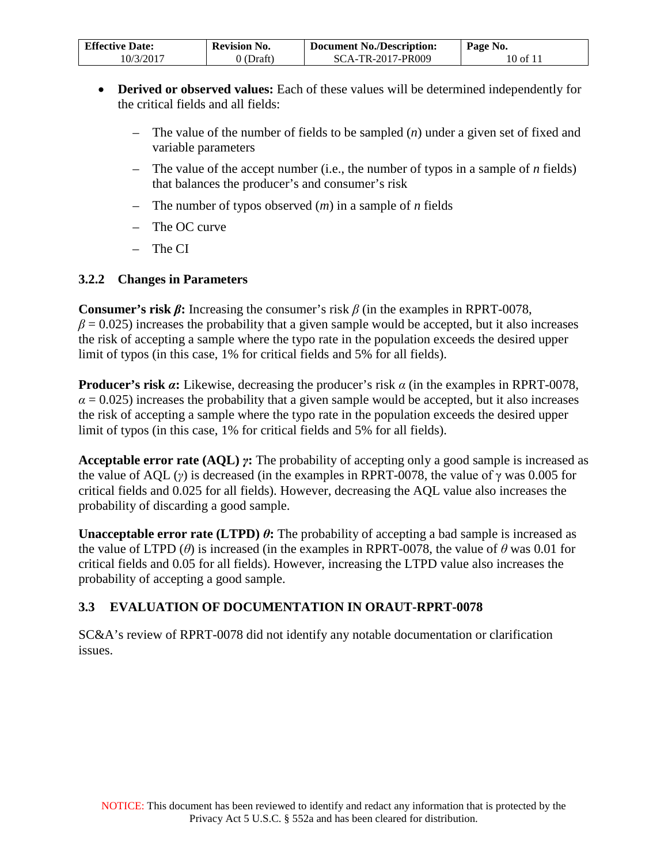| <b>Effective Date:</b> | <b>Revision No.</b> | <b>Document No./Description:</b> | Page No. |
|------------------------|---------------------|----------------------------------|----------|
| 10/3/2017              | 0 (Draft)           | SCA-TR-2017-PR009                | 10 of 11 |

- **Derived or observed values:** Each of these values will be determined independently for the critical fields and all fields:
	- The value of the number of fields to be sampled (*n*) under a given set of fixed and variable parameters
	- The value of the accept number (i.e., the number of typos in a sample of *n* fields) that balances the producer's and consumer's risk
	- The number of typos observed (*m*) in a sample of *n* fields
	- The OC curve
	- $-$  The CI

#### <span id="page-9-0"></span>**3.2.2 Changes in Parameters**

**Consumer's risk**  $\beta$ **: Increasing the consumer's risk**  $\beta$  **(in the examples in RPRT-0078,**  $\beta$  = 0.025) increases the probability that a given sample would be accepted, but it also increases the risk of accepting a sample where the typo rate in the population exceeds the desired upper limit of typos (in this case, 1% for critical fields and 5% for all fields).

**Producer's risk** *α***:** Likewise, decreasing the producer's risk *α* (in the examples in RPRT-0078,  $\alpha$  = 0.025) increases the probability that a given sample would be accepted, but it also increases the risk of accepting a sample where the typo rate in the population exceeds the desired upper limit of typos (in this case, 1% for critical fields and 5% for all fields).

**Acceptable error rate (AQL)** *γ***:** The probability of accepting only a good sample is increased as the value of AQL ( $\gamma$ ) is decreased (in the examples in RPRT-0078, the value of  $\gamma$  was 0.005 for critical fields and 0.025 for all fields). However, decreasing the AQL value also increases the probability of discarding a good sample.

**Unacceptable error rate (LTPD)**  $\theta$ **:** The probability of accepting a bad sample is increased as the value of LTPD ( $\theta$ ) is increased (in the examples in RPRT-0078, the value of  $\theta$  was 0.01 for critical fields and 0.05 for all fields). However, increasing the LTPD value also increases the probability of accepting a good sample.

#### <span id="page-9-1"></span>**3.3 EVALUATION OF DOCUMENTATION IN ORAUT-RPRT-0078**

SC&A's review of RPRT-0078 did not identify any notable documentation or clarification issues.